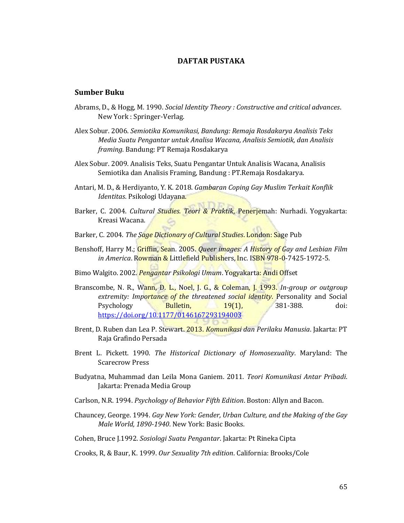# **DAFTAR PUSTAKA**

## **Sumber Buku**

- Abrams, D., & Hogg, M. 1990. *Social Identity Theory : Constructive and critical advances*. New York : Springer-Verlag.
- Alex Sobur. 2006. *Semiotika Komunikasi, Bandung: Remaja Rosdakarya Analisis Teks Media Suatu Pengantar untuk Analisa Wacana, Analisis Semiotik, dan Analisis framing*. Bandung: PT Remaja Rosdakarya
- Alex Sobur. 2009. Analisis Teks, Suatu Pengantar Untuk Analisis Wacana, Analisis Semiotika dan Analisis Framing, Bandung : PT.Remaja Rosdakarya.
- Antari, M. D., & Herdiyanto, Y. K. 2018. *Gambaran Coping Gay Muslim Terkait Konflik Identitas*. Psikologi Udayana.
- Barker, C. 2004. *Cultural Studies. Teori & Praktik*, Penerjemah: Nurhadi. Yogyakarta: Kreasi Wacana.
- Barker, C. 2004. *The Sage Dictionary of Cultural Studies*. London: Sage Pub
- Benshoff, Harry M.; Griffin, Sean. 2005. *Queer images: A History of Gay and Lesbian Film in America*. Rowman & Littlefield Publishers, Inc. ISBN 978-0-7425-1972-5.
- Bimo Walgito. 2002*. Pengantar Psikologi Umum*. Yogyakarta: Andi Offset
- Branscombe, N. R., Wann, D. L., Noel, J. G., & Coleman, J. 1993. *In-group or outgroup extremity: Importance of the threatened social identity*. Personality and Social Psychology **Bulletin, 19(1), 381-388** doi: <https://doi.org/10.1177/0146167293194003>
- Brent, D. Ruben dan Lea P. Stewart. 2013. *Komunikasi dan Perilaku Manusia*. Jakarta: PT Raja Grafindo Persada
- Brent L. Pickett. 1990. *The Historical Dictionary of Homosexuality*. Maryland: The Scarecrow Press
- Budyatna, Muhammad dan Leila Mona Ganiem. 2011. *Teori Komunikasi Antar Pribadi*. Jakarta: Prenada Media Group
- Carlson, N.R. 1994. *Psychology of Behavior Fifth Edition*. Boston: Allyn and Bacon.
- Chauncey, George. 1994. *Gay New York: Gender, Urban Culture, and the Making of the Gay Male World, 1890-1940*. New York: Basic Books.
- Cohen, Bruce J.1992. *Sosiologi Suatu Pengantar*. Jakarta: Pt Rineka Cipta

Crooks, R, & Baur, K. 1999. *Our Sexuality 7th edition*. California: Brooks/Cole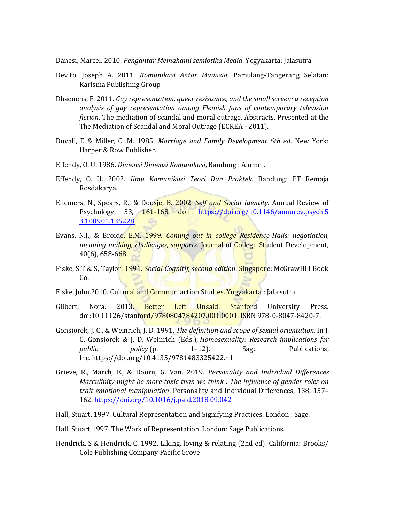Danesi, Marcel. 2010. *Pengantar Memahami semiotika Media*. Yogyakarta: Jalasutra

- Devito, Joseph A. 2011. *Komunikasi Antar Manusia*. Pamulang-Tangerang Selatan: Karisma Publishing Group
- Dhaenens, F. 2011. *Gay representation, queer resistance, and the small screen: a reception analysis of gay representation among Flemish fans of contemporary television fiction*. The mediation of scandal and moral outrage, Abstracts. Presented at the The Mediation of Scandal and Moral Outrage (ECREA - 2011).
- Duvall, E & Miller, C. M. 1985. *Marriage and Family Development 6th ed*. New York: Harper & Row Publisher.
- Effendy, O. U. 1986. *Dimensi Dimensi Komunikasi*, Bandung : Alumni.
- Effendy, O. U. 2002. *Ilmu Komunikasi Teori Dan Praktek*. Bandung: PT Remaja Rosdakarya.
- Ellemers, N., Spears, R., & Doosje, B. 2002. *Self and Social Identity*. Annual Review of Psychology, 53, 161-168. doi: [https://doi.org/10.1146/annurev.psych.5](https://doi.org/10.1146/annurev.psych.5%203.100901.135228)  [3.100901.135228](https://doi.org/10.1146/annurev.psych.5%203.100901.135228)
- Evans, N.J., & Broido, E.M. 1999. *Coming out in college Residence-Halls: negotiation, meaning making, challenges, supports*. Journal of College Student Development, 40(6), 658-668.
- Fiske, S.T & S, Taylor. 1991. *Social Cognitif, second edition*. Singapore: McGrawHill Book Co.
- Fiske, John.2010. Cultural and Communiaction Studies. Yogyakarta : Jala sutra
- Gilbert. Nora. 2013. Better Left Unsaid. Stanford University Press. doi:10.11126/stanford/9780804784207.001.0001. ISBN 978-0-8047-8420-7.
- Gonsiorek, J. C., & Weinrich, J. D. 1991. *The definition and scope of sexual orientation.* In J. C. Gonsiorek & J. D. Weinrich (Eds.), *Homosexuality: Research implications for*  public policy (p. 1–12). Sage Publications, Inc. <https://doi.org/10.4135/9781483325422.n1>
- Grieve, R., March, E., & Doorn, G. Van. 2019. *Personality and Individual Differences Masculinity might be more toxic than we think : The influence of gender roles on trait emotional manipulation*. Personality and Individual Differences, 138, 157– 162[. https://doi.org/10.1016/j.paid.2018.09.042](https://doi.org/10.1016/j.paid.2018.09.042)
- Hall, Stuart. 1997. Cultural Representation and Signifying Practices. London : Sage.
- Hall, Stuart 1997. The Work of Representation. London: Sage Publications.
- Hendrick, S & Hendrick, C. 1992. Liking, loving & relating (2nd ed). California: Brooks/ Cole Publishing Company Pacific Grove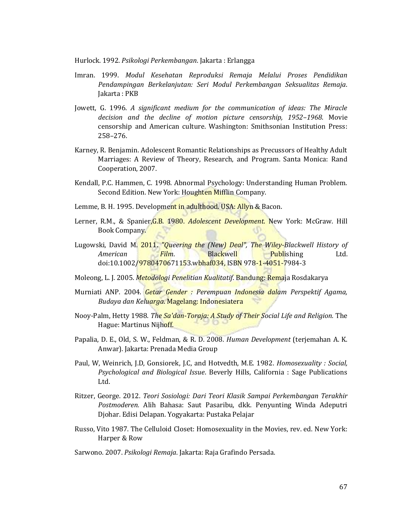Hurlock. 1992. *Psikologi Perkembangan*. Jakarta : Erlangga

- Imran. 1999. *Modul Kesehatan Reproduksi Remaja Melalui Proses Pendidikan Pendampingan Berkelanjutan: Seri Modul Perkembangan Seksualitas Remaja*. Jakarta : PKB
- Jowett, G. 1996. *A significant medium for the communication of ideas: The Miracle decision and the decline of motion picture censorship, 1952–1968*. Movie censorship and American culture. Washington: Smithsonian Institution Press: 258–276.
- Karney, R. Benjamin. Adolescent Romantic Relationships as Precussors of Healthy Adult Marriages: A Review of Theory, Research, and Program. Santa Monica: Rand Cooperation, 2007.
- Kendall, P.C. Hammen, C. 1998. Abnormal Psychology: Understanding Human Problem. Second Edition. New York: Houghten Mifflin Company.
- Lemme, B. H. 1995. Development in adulthood. USA: Allyn & Bacon.
- Lerner, R.M., & Spanier,G.B. 1980. *Adolescent Development*. New York: McGraw. Hill Book Company.
- Lugowski, David M. 2011. *"Queering the (New) Deal", The Wiley-Blackwell History of American Film.* Blackwell Publishing Ltd. doi:10.1002/9780470671153.wbhaf034, ISBN 978-1-4051-7984-3
- Moleong, L. J. 2005. *Metodologi Penelitian Kualitatif*. Bandung: Remaja Rosdakarya
- Murniati ANP. 2004. *Getar Gender : Perempuan Indonesia dalam Perspektif Agama, Budaya dan Keluarga*. Magelang: Indonesiatera
- Nooy-Palm, Hetty 1988. *The Sa'dan-Toraja: A Study of Their Social Life and Religion.* The Hague: Martinus Nijhoff.
- Papalia, D. E., Old, S. W., Feldman, & R. D. 2008. *Human Development* (terjemahan A. K. Anwar). Jakarta: Prenada Media Group
- Paul, W, Weinrich, J.D, Gonsiorek, J.C, and Hotvedth, M.E. 1982. *Homosexuality : Social, Psychological and Biological Issue*. Beverly Hills, California : Sage Publications Ltd.
- Ritzer, George. 2012. *Teori Sosiologi: Dari Teori Klasik Sampai Perkembangan Terakhir Postmoderen.* Alih Bahasa: Saut Pasaribu, dkk. Penyunting Winda Adeputri Djohar. Edisi Delapan. Yogyakarta: Pustaka Pelajar
- Russo, Vito 1987. The Celluloid Closet: Homosexuality in the Movies, rev. ed. New York: Harper & Row
- Sarwono. 2007. *Psikologi Remaja*. Jakarta: Raja Grafindo Persada.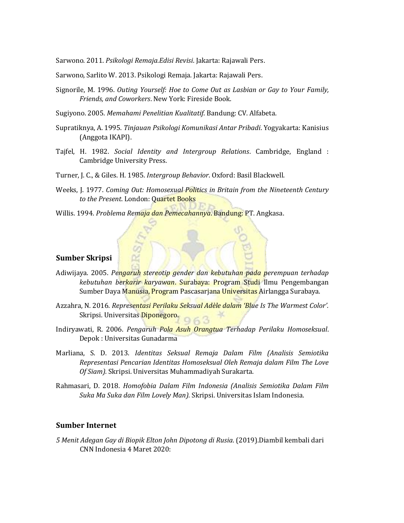Sarwono. 2011. *Psikologi Remaja.Edisi Revisi*. Jakarta: Rajawali Pers.

Sarwono, Sarlito W. 2013. Psikologi Remaja. Jakarta: Rajawali Pers.

- Signorile, M. 1996. *Outing Yourself: Hoe to Come Out as Lasbian or Gay to Your Family, Friends, and Coworkers*. New York: Fireside Book.
- Sugiyono. 2005. *Memahami Penelitian Kualitatif*. Bandung: CV. Alfabeta.
- Supratiknya, A. 1995. *Tinjauan Psikologi Komunikasi Antar Pribadi*. Yogyakarta: Kanisius (Anggota IKAPI).
- Tajfel, H. 1982. *Social Identity and Intergroup Relations*. Cambridge, England : Cambridge University Press.
- Turner, J. C., & Giles. H. 1985. *Intergroup Behavior*. Oxford: Basil Blackwell.
- Weeks, J. 1977. *Coming Out: Homosexual Politics in Britain from the Nineteenth Century to the Present*. London: Quartet Books
- Willis. 1994. *Problema Remaja dan Pemecahannya*. Bandung: PT. Angkasa.

#### **Sumber Skripsi**

- Adiwijaya. 2005. *Pengaruh stereotip gender dan kebutuhan pada perempuan terhadap kebutuhan berkarir karyawan*. Surabaya: Program Studi Ilmu Pengembangan Sumber Daya Manusia, Program Pascasarjana Universitas Airlangga Surabaya.
- Azzahra, N. 2016. *Representasi Perilaku Seksual Adèle dalam 'Blue Is The Warmest Color'.*  Skripsi. Universitas Diponegoro.
- Indiryawati, R. 2006. *Pengaruh Pola Asuh Orangtua Terhadap Perilaku Homoseksual*. Depok : Universitas Gunadarma
- Marliana, S. D. 2013. *Identitas Seksual Remaja Dalam Film (Analisis Semiotika Representasi Pencarian Identitas Homoseksual Oleh Remaja dalam Film The Love Of Siam).* Skripsi. Universitas Muhammadiyah Surakarta.
- Rahmasari, D. 2018. *Homofobia Dalam Film Indonesia (Analisis Semiotika Dalam Film Suka Ma Suka dan Film Lovely Man).* Skripsi. Universitas Islam Indonesia.

## **Sumber Internet**

*5 Menit Adegan Gay di Biopik Elton John Dipotong di Rusia*. (2019).Diambil kembali dari CNN Indonesia 4 Maret 2020: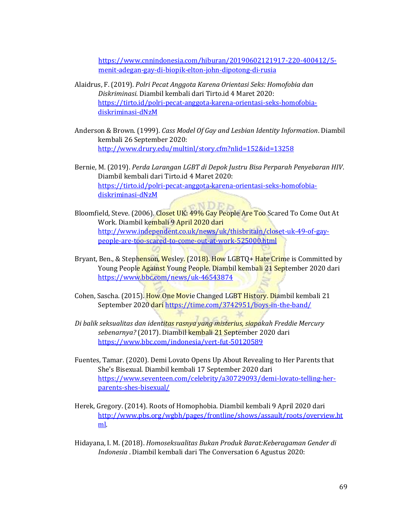[https://www.cnnindonesia.com/hiburan/20190602121917-220-400412/5](https://www.cnnindonesia.com/hiburan/20190602121917-220-400412/5-menit-adegan-gay-di-biopik-elton-john-dipotong-di-rusia) [menit-adegan-gay-di-biopik-elton-john-dipotong-di-rusia](https://www.cnnindonesia.com/hiburan/20190602121917-220-400412/5-menit-adegan-gay-di-biopik-elton-john-dipotong-di-rusia)

- Alaidrus, F. (2019). *Polri Pecat Anggota Karena Orientasi Seks: Homofobia dan Diskriminasi*. Diambil kembali dari Tirto.id 4 Maret 2020: [https://tirto.id/polri-pecat-anggota-karena-orientasi-seks-homofobia](https://tirto.id/polri-pecat-anggota-karena-orientasi-seks-homofobia-diskriminasi-dNzM)[diskriminasi-dNzM](https://tirto.id/polri-pecat-anggota-karena-orientasi-seks-homofobia-diskriminasi-dNzM)
- Anderson & Brown. (1999). *Cass Model Of Gay and Lesbian Identity Information*. Diambil kembali 26 September 2020: <http://www.drury.edu/multinl/story.cfm?nlid=152&id=13258>

Bernie, M. (2019). *Perda Larangan LGBT di Depok Justru Bisa Perparah Penyebaran HIV*. Diambil kembali dari Tirto.id 4 Maret 2020: [https://tirto.id/polri-pecat-anggota-karena-orientasi-seks-homofobia](https://tirto.id/polri-pecat-anggota-karena-orientasi-seks-homofobia-diskriminasi-dNzM)[diskriminasi-dNzM](https://tirto.id/polri-pecat-anggota-karena-orientasi-seks-homofobia-diskriminasi-dNzM)

 $\sqrt{N} \prod n$ 

- Bloomfield, Steve. (2006). Closet UK: 49% Gay People Are Too Scared To Come Out At Work. Diambil kembali 9 April 2020 dari [http://www.independent.co.uk/news/uk/thisbritain/closet-uk-49-of-gay](http://www.independent.co.uk/news/uk/thisbritain/closet-uk-49-of-gay-people-are-too-scared-to-come-out-at-work-525000.html)[people-are-too-scared-to-come-out-at-work-525000.html](http://www.independent.co.uk/news/uk/thisbritain/closet-uk-49-of-gay-people-are-too-scared-to-come-out-at-work-525000.html)
- Bryant, Ben., & Stephenson, Wesley. (2018). How LGBTQ+ Hate Crime is Committed by Young People Against Young People. Diambil kembali 21 September 2020 dari <https://www.bbc.com/news/uk-46543874>
- Cohen, Sascha. (2015). How One Movie Changed LGBT History. Diambil kembali 21 September 2020 dari <https://time.com/3742951/boys-in-the-band/>
- *Di balik seksualitas dan identitas rasnya yang misterius, siapakah Freddie Mercury sebenarnya?* (2017). Diambil kembali 21 September 2020 dari <https://www.bbc.com/indonesia/vert-fut-50120589>
- Fuentes, Tamar. (2020). Demi Lovato Opens Up About Revealing to Her Parents that She's Bisexual. Diambil kembali 17 September 2020 dari [https://www.seventeen.com/celebrity/a30729093/demi-lovato-telling-her](https://www.seventeen.com/celebrity/a30729093/demi-lovato-telling-her-parents-shes-bisexual/)[parents-shes-bisexual/](https://www.seventeen.com/celebrity/a30729093/demi-lovato-telling-her-parents-shes-bisexual/)
- Herek, Gregory. (2014). Roots of Homophobia. Diambil kembali 9 April 2020 dari [http://www.pbs.org/wgbh/pages/frontline/shows/assault/roots/overview.ht](http://www.pbs.org/wgbh/pages/frontline/shows/assault/roots/overview.html) [ml.](http://www.pbs.org/wgbh/pages/frontline/shows/assault/roots/overview.html)
- Hidayana, I. M. (2018). *Homoseksualitas Bukan Produk Barat:Keberagaman Gender di Indonesia* . Diambil kembali dari The Conversation 6 Agustus 2020: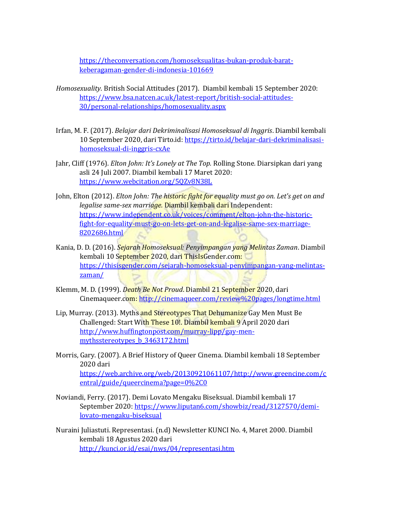[https://theconversation.com/homoseksualitas-bukan-produk-barat](https://theconversation.com/homoseksualitas-bukan-produk-barat-keberagaman-gender-di-indonesia-101669)[keberagaman-gender-di-indonesia-101669](https://theconversation.com/homoseksualitas-bukan-produk-barat-keberagaman-gender-di-indonesia-101669)

- *Homosexuality.* British Social Attitudes (2017). Diambil kembali 15 September 2020: [https://www.bsa.natcen.ac.uk/latest-report/british-social-attitudes-](https://www.bsa.natcen.ac.uk/latest-report/british-social-attitudes-30/personal-relationships/homosexuality.aspx)[30/personal-relationships/homosexuality.aspx](https://www.bsa.natcen.ac.uk/latest-report/british-social-attitudes-30/personal-relationships/homosexuality.aspx)
- Irfan, M. F. (2017). *Belajar dari Dekriminalisasi Homoseksual di Inggris*. Diambil kembali 10 September 2020, dari Tirto.id: [https://tirto.id/belajar-dari-dekriminalisasi](https://tirto.id/belajar-dari-dekriminalisasi-homoseksual-di-inggris-cxAe)[homoseksual-di-inggris-cxAe](https://tirto.id/belajar-dari-dekriminalisasi-homoseksual-di-inggris-cxAe)
- Jahr, Cliff (1976). *Elton John: It's Lonely at The Top.* Rolling Stone*.* Diarsipkan dari yang asli 24 Juli 2007. Diambil kembali 17 Maret 2020: <https://www.webcitation.org/5QZv8N38L>
- John, Elton (2012). *Elton John: The historic fight for equality must go on. Let's get on and legalise same-sex marriage.* Diambil kembali dari Independent: [https://www.independent.co.uk/voices/comment/elton-john-the-historic](https://www.independent.co.uk/voices/comment/elton-john-the-historic-fight-for-equality-must-go-on-lets-get-on-and-legalise-same-sex-marriage-8202686.html)[fight-for-equality-must-go-on-lets-get-on-and-legalise-same-sex-marriage-](https://www.independent.co.uk/voices/comment/elton-john-the-historic-fight-for-equality-must-go-on-lets-get-on-and-legalise-same-sex-marriage-8202686.html)[8202686.html](https://www.independent.co.uk/voices/comment/elton-john-the-historic-fight-for-equality-must-go-on-lets-get-on-and-legalise-same-sex-marriage-8202686.html)
- Kania, D. D. (2016). *Sejarah Homoseksual: Penyimpangan yang Melintas Zaman*. Diambil kembali 10 September 2020, dari ThisIsGender.com: [https://thisisgender.com/sejarah-homoseksual-penyimpangan-yang-melintas](https://thisisgender.com/sejarah-homoseksual-penyimpangan-yang-melintas-zaman/)[zaman/](https://thisisgender.com/sejarah-homoseksual-penyimpangan-yang-melintas-zaman/)
- Klemm, M. D. (1999). *Death Be Not Proud*. Diambil 21 September 2020, dari Cinemaqueer.com:<http://cinemaqueer.com/review%20pages/longtime.html>
- Lip, Murray. (2013). Myths and Stereotypes That Dehumanize Gay Men Must Be Challenged: Start With These 10!. Diambil kembali 9 April 2020 dari [http://www.huffingtonpost.com/murray-lipp/gay-men](http://www.huffingtonpost.com/murray-lipp/gay-men-mythsstereotypes_b_3463172.html)[mythsstereotypes\\_b\\_3463172.html](http://www.huffingtonpost.com/murray-lipp/gay-men-mythsstereotypes_b_3463172.html)
- Morris, Gary. (2007). A Brief History of Queer Cinema. Diambil kembali 18 September 2020 dari [https://web.archive.org/web/20130921061107/http://www.greencine.com/c](https://web.archive.org/web/20130921061107/http:/www.greencine.com/central/guide/queercinema?page=0%2C0) [entral/guide/queercinema?page=0%2C0](https://web.archive.org/web/20130921061107/http:/www.greencine.com/central/guide/queercinema?page=0%2C0)
- Noviandi, Ferry. (2017). Demi Lovato Mengaku Biseksual. Diambil kembali 17 September 2020: [https://www.liputan6.com/showbiz/read/3127570/demi](https://www.liputan6.com/showbiz/read/3127570/demi-lovato-mengaku-biseksual)[lovato-mengaku-biseksual](https://www.liputan6.com/showbiz/read/3127570/demi-lovato-mengaku-biseksual)
- Nuraini Juliastuti. Representasi. (n.d) Newsletter KUNCI No. 4, Maret 2000. Diambil kembali 18 Agustus 2020 dari <http://kunci.or.id/esai/nws/04/representasi.htm>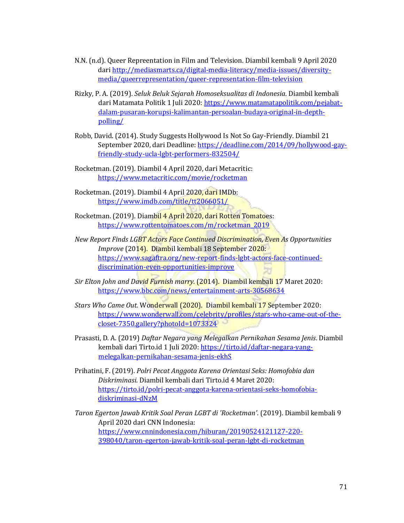- N.N. (n.d). Queer Repreentation in Film and Television. Diambil kembali 9 April 2020 dari [http://mediasmarts.ca/digital-media-literacy/media-issues/diversity](http://mediasmarts.ca/digital-media-literacy/media-issues/diversity-media/queerrepresentation/queer-representation-film-television)[media/queerrepresentation/queer-representation-film-television](http://mediasmarts.ca/digital-media-literacy/media-issues/diversity-media/queerrepresentation/queer-representation-film-television)
- Rizky, P. A. (2019). *Seluk Beluk Sejarah Homoseksualitas di Indonesia*. Diambil kembali dari Matamata Politik 1 Juli 2020: [https://www.matamatapolitik.com/pejabat](https://www.matamatapolitik.com/pejabat-dalam-pusaran-korupsi-kalimantan-persoalan-budaya-original-in-depth-polling/)[dalam-pusaran-korupsi-kalimantan-persoalan-budaya-original-in-depth](https://www.matamatapolitik.com/pejabat-dalam-pusaran-korupsi-kalimantan-persoalan-budaya-original-in-depth-polling/)[polling/](https://www.matamatapolitik.com/pejabat-dalam-pusaran-korupsi-kalimantan-persoalan-budaya-original-in-depth-polling/)
- Robb, David. (2014). Study Suggests Hollywood Is Not So Gay-Friendly. Diambil 21 September 2020, dari Deadline: [https://deadline.com/2014/09/hollywood-gay](https://deadline.com/2014/09/hollywood-gay-friendly-study-ucla-lgbt-performers-832504/)[friendly-study-ucla-lgbt-performers-832504/](https://deadline.com/2014/09/hollywood-gay-friendly-study-ucla-lgbt-performers-832504/)
- Rocketman. (2019). Diambil 4 April 2020, dari Metacritic: <https://www.metacritic.com/movie/rocketman>
- Rocketman. (2019). Diambil 4 April 2020, dari IMDb: <https://www.imdb.com/title/tt2066051/>
- Rocketman. (2019). Diambil 4 April 2020, dari Rotten Tomatoes: [https://www.rottentomatoes.com/m/rocketman\\_2019](https://www.rottentomatoes.com/m/rocketman_2019)
- *New Report Finds LGBT Actors Face Continued Discrimination, Even As Opportunities Improve* (2014). Diambil kembali 18 September 2020: [https://www.sagaftra.org/new-report-finds-lgbt-actors-face-continued](https://www.sagaftra.org/new-report-finds-lgbt-actors-face-continued-discrimination-even-opportunities-improve)[discrimination-even-opportunities-improve](https://www.sagaftra.org/new-report-finds-lgbt-actors-face-continued-discrimination-even-opportunities-improve)
- *Sir Elton John and David Furnish marry.* (2014). Diambil kembali 17 Maret 2020: <https://www.bbc.com/news/entertainment-arts-30568634>
- *Stars Who Came Out.* Wonderwall (2020). Diambil kembali 17 September 2020: [https://www.wonderwall.com/celebrity/profiles/stars-who-came-out-of-the](https://www.wonderwall.com/celebrity/profiles/stars-who-came-out-of-the-closet-7350.gallery?photoId=1073324)[closet-7350.gallery?photoId=1073324](https://www.wonderwall.com/celebrity/profiles/stars-who-came-out-of-the-closet-7350.gallery?photoId=1073324)
- Prasasti, D. A. (2019) *Daftar Negara yang Melegalkan Pernikahan Sesama Jenis*. Diambil kembali dari Tirto.id 1 Juli 2020[: https://tirto.id/daftar-negara-yang](https://tirto.id/daftar-negara-yang-melegalkan-pernikahan-sesama-jenis-ekhS)[melegalkan-pernikahan-sesama-jenis-ekhS](https://tirto.id/daftar-negara-yang-melegalkan-pernikahan-sesama-jenis-ekhS)
- Prihatini, F. (2019). *Polri Pecat Anggota Karena Orientasi Seks: Homofobia dan Diskriminasi*. Diambil kembali dari Tirto.id 4 Maret 2020: [https://tirto.id/polri-pecat-anggota-karena-orientasi-seks-homofobia](https://tirto.id/polri-pecat-anggota-karena-orientasi-seks-homofobia-diskriminasi-dNzM)[diskriminasi-dNzM](https://tirto.id/polri-pecat-anggota-karena-orientasi-seks-homofobia-diskriminasi-dNzM)
- *Taron Egerton Jawab Kritik Soal Peran LGBT di 'Rocketman'*. (2019). Diambil kembali 9 April 2020 dari CNN Indonesia: [https://www.cnnindonesia.com/hiburan/20190524121127-220-](https://www.cnnindonesia.com/hiburan/20190524121127-220-398040/taron-egerton-jawab-kritik-soal-peran-lgbt-di-rocketman) [398040/taron-egerton-jawab-kritik-soal-peran-lgbt-di-rocketman](https://www.cnnindonesia.com/hiburan/20190524121127-220-398040/taron-egerton-jawab-kritik-soal-peran-lgbt-di-rocketman)